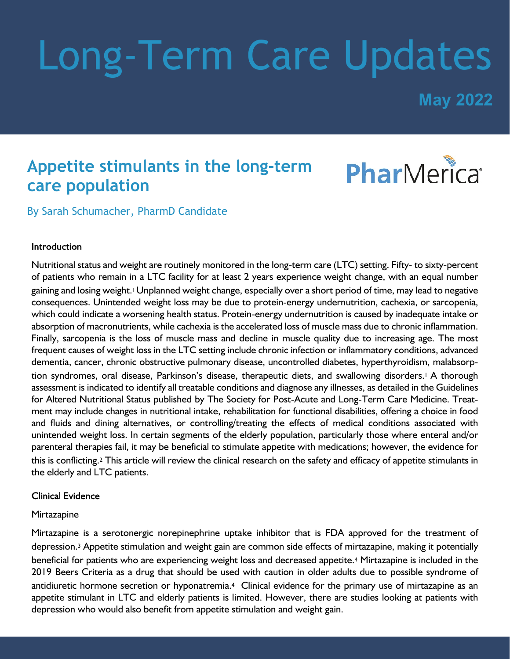# Long-Term Care Updates

**May 2022**

## **Appetite stimulants in the long-term care population**



By Sarah Schumacher, PharmD Candidate

#### Introduction

Nutritional status and weight are routinely monitored in the long-term care (LTC) setting. Fifty- to sixty-percent of patients who remain in a LTC facility for at least 2 years experience weight change, with an equal number gaining and losing weight.1Unplanned weight change, especially over a short period of time, may lead to negative consequences. Unintended weight loss may be due to protein-energy undernutrition, cachexia, or sarcopenia, which could indicate a worsening health status. Protein-energy undernutrition is caused by inadequate intake or absorption of macronutrients, while cachexia is the accelerated loss of muscle mass due to chronic inflammation. Finally, sarcopenia is the loss of muscle mass and decline in muscle quality due to increasing age. The most frequent causes of weight loss in the LTC setting include chronic infection or inflammatory conditions, advanced dementia, cancer, chronic obstructive pulmonary disease, uncontrolled diabetes, hyperthyroidism, malabsorption syndromes, oral disease, Parkinson's disease, therapeutic diets, and swallowing disorders.<sup>1</sup> A thorough assessment is indicated to identify all treatable conditions and diagnose any illnesses, as detailed in the Guidelines for Altered Nutritional Status published by The Society for Post-Acute and Long-Term Care Medicine. Treatment may include changes in nutritional intake, rehabilitation for functional disabilities, offering a choice in food and fluids and dining alternatives, or controlling/treating the effects of medical conditions associated with unintended weight loss. In certain segments of the elderly population, particularly those where enteral and/or parenteral therapies fail, it may be beneficial to stimulate appetite with medications; however, the evidence for this is conflicting.2 This article will review the clinical research on the safety and efficacy of appetite stimulants in the elderly and LTC patients.

#### **Clinical Evidence**

#### **Mirtazapine**

Mirtazapine is a serotonergic norepinephrine uptake inhibitor that is FDA approved for the treatment of depression.3 Appetite stimulation and weight gain are common side effects of mirtazapine, making it potentially beneficial for patients who are experiencing weight loss and decreased appetite.4 Mirtazapine is included in the 2019 Beers Criteria as a drug that should be used with caution in older adults due to possible syndrome of antidiuretic hormone secretion or hyponatremia.4 Clinical evidence for the primary use of mirtazapine as an appetite stimulant in LTC and elderly patients is limited. However, there are studies looking at patients with depression who would also benefit from appetite stimulation and weight gain.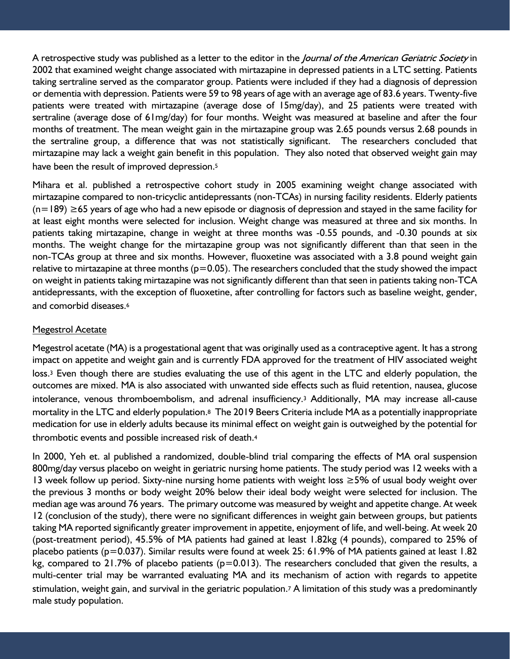A retrospective study was published as a letter to the editor in the *Journal of the American Geriatric Society* in 2002 that examined weight change associated with mirtazapine in depressed patients in a LTC setting. Patients taking sertraline served as the comparator group. Patients were included if they had a diagnosis of depression or dementia with depression. Patients were 59 to 98 years of age with an average age of 83.6 years. Twenty-five patients were treated with mirtazapine (average dose of 15mg/day), and 25 patients were treated with sertraline (average dose of 61mg/day) for four months. Weight was measured at baseline and after the four months of treatment. The mean weight gain in the mirtazapine group was 2.65 pounds versus 2.68 pounds in the sertraline group, a difference that was not statistically significant. The researchers concluded that mirtazapine may lack a weight gain benefit in this population. They also noted that observed weight gain may have been the result of improved depression.<sup>5</sup>

Mihara et al. published a retrospective cohort study in 2005 examining weight change associated with mirtazapine compared to non-tricyclic antidepressants (non-TCAs) in nursing facility residents. Elderly patients (n=189) ≥65 years of age who had a new episode or diagnosis of depression and stayed in the same facility for at least eight months were selected for inclusion. Weight change was measured at three and six months. In patients taking mirtazapine, change in weight at three months was -0.55 pounds, and -0.30 pounds at six months. The weight change for the mirtazapine group was not significantly different than that seen in the non-TCAs group at three and six months. However, fluoxetine was associated with a 3.8 pound weight gain relative to mirtazapine at three months ( $p=0.05$ ). The researchers concluded that the study showed the impact on weight in patients taking mirtazapine was not significantly different than that seen in patients taking non-TCA antidepressants, with the exception of fluoxetine, after controlling for factors such as baseline weight, gender, and comorbid diseases.<sup>6</sup>

#### Megestrol Acetate

Megestrol acetate (MA) is a progestational agent that was originally used as a contraceptive agent. It has a strong impact on appetite and weight gain and is currently FDA approved for the treatment of HIV associated weight loss.3 Even though there are studies evaluating the use of this agent in the LTC and elderly population, the outcomes are mixed. MA is also associated with unwanted side effects such as fluid retention, nausea, glucose intolerance, venous thromboembolism, and adrenal insufficiency.3 Additionally, MA may increase all-cause mortality in the LTC and elderly population.8 The 2019 Beers Criteria include MA as a potentially inappropriate medication for use in elderly adults because its minimal effect on weight gain is outweighed by the potential for thrombotic events and possible increased risk of death.<sup>4</sup>

In 2000, Yeh et. al published a randomized, double-blind trial comparing the effects of MA oral suspension 800mg/day versus placebo on weight in geriatric nursing home patients. The study period was 12 weeks with a 13 week follow up period. Sixty-nine nursing home patients with weight loss ≥5% of usual body weight over the previous 3 months or body weight 20% below their ideal body weight were selected for inclusion. The median age was around 76 years. The primary outcome was measured by weight and appetite change. At week 12 (conclusion of the study), there were no significant differences in weight gain between groups, but patients taking MA reported significantly greater improvement in appetite, enjoyment of life, and well-being. At week 20 (post-treatment period), 45.5% of MA patients had gained at least 1.82kg (4 pounds), compared to 25% of placebo patients (p=0.037). Similar results were found at week 25: 61.9% of MA patients gained at least 1.82 kg, compared to 21.7% of placebo patients ( $p=0.013$ ). The researchers concluded that given the results, a multi-center trial may be warranted evaluating MA and its mechanism of action with regards to appetite stimulation, weight gain, and survival in the geriatric population.<sup>7</sup> A limitation of this study was a predominantly male study population.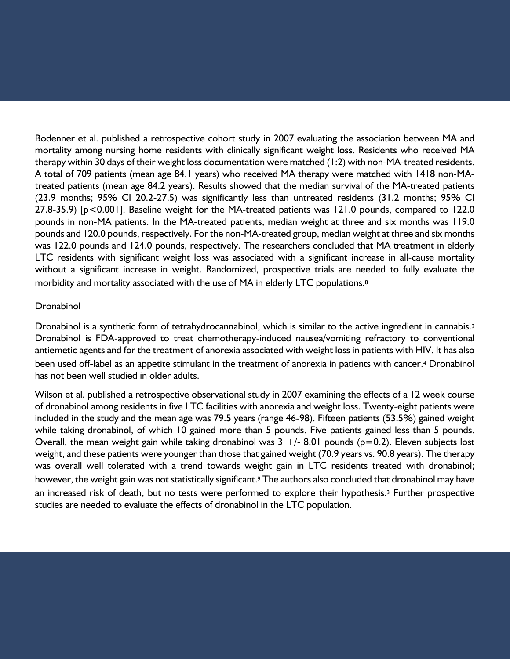Bodenner et al. published a retrospective cohort study in 2007 evaluating the association between MA and mortality among nursing home residents with clinically significant weight loss. Residents who received MA therapy within 30 days of their weight loss documentation were matched (1:2) with non-MA-treated residents. A total of 709 patients (mean age 84.1 years) who received MA therapy were matched with 1418 non-MAtreated patients (mean age 84.2 years). Results showed that the median survival of the MA-treated patients (23.9 months; 95% CI 20.2-27.5) was significantly less than untreated residents (31.2 months; 95% CI 27.8-35.9) [p<0.001]. Baseline weight for the MA-treated patients was 121.0 pounds, compared to 122.0 pounds in non-MA patients. In the MA-treated patients, median weight at three and six months was 119.0 pounds and 120.0 pounds, respectively. For the non-MA-treated group, median weight at three and six months was 122.0 pounds and 124.0 pounds, respectively. The researchers concluded that MA treatment in elderly LTC residents with significant weight loss was associated with a significant increase in all-cause mortality without a significant increase in weight. Randomized, prospective trials are needed to fully evaluate the morbidity and mortality associated with the use of MA in elderly LTC populations.<sup>8</sup>

#### Dronabinol

Dronabinol is a synthetic form of tetrahydrocannabinol, which is similar to the active ingredient in cannabis.<sup>3</sup> Dronabinol is FDA-approved to treat chemotherapy-induced nausea/vomiting refractory to conventional antiemetic agents and for the treatment of anorexia associated with weight loss in patients with HIV. It has also been used off-label as an appetite stimulant in the treatment of anorexia in patients with cancer.4 Dronabinol has not been well studied in older adults.

Wilson et al. published a retrospective observational study in 2007 examining the effects of a 12 week course of dronabinol among residents in five LTC facilities with anorexia and weight loss. Twenty-eight patients were included in the study and the mean age was 79.5 years (range 46-98). Fifteen patients (53.5%) gained weight while taking dronabinol, of which 10 gained more than 5 pounds. Five patients gained less than 5 pounds. Overall, the mean weight gain while taking dronabinol was  $3 +/-8.01$  pounds (p=0.2). Eleven subjects lost weight, and these patients were younger than those that gained weight (70.9 years vs. 90.8 years). The therapy was overall well tolerated with a trend towards weight gain in LTC residents treated with dronabinol; however, the weight gain was not statistically significant.<sup>9</sup> The authors also concluded that dronabinol may have an increased risk of death, but no tests were performed to explore their hypothesis.<sup>3</sup> Further prospective studies are needed to evaluate the effects of dronabinol in the LTC population.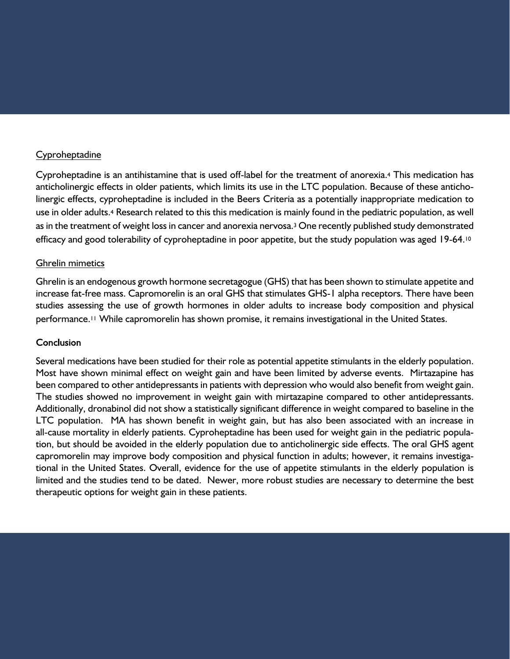#### Cyproheptadine

Cyproheptadine is an antihistamine that is used off-label for the treatment of anorexia.4 This medication has anticholinergic effects in older patients, which limits its use in the LTC population. Because of these anticholinergic effects, cyproheptadine is included in the Beers Criteria as a potentially inappropriate medication to use in older adults.<sup>4</sup> Research related to this this medication is mainly found in the pediatric population, as well as in the treatment of weight loss in cancer and anorexia nervosa.<sup>3</sup> One recently published study demonstrated efficacy and good tolerability of cyproheptadine in poor appetite, but the study population was aged 19-64.<sup>10</sup>

#### Ghrelin mimetics

Ghrelin is an endogenous growth hormone secretagogue (GHS) that has been shown to stimulate appetite and increase fat-free mass. Capromorelin is an oral GHS that stimulates GHS-1 alpha receptors. There have been studies assessing the use of growth hormones in older adults to increase body composition and physical performance.<sup>11</sup> While capromorelin has shown promise, it remains investigational in the United States.

#### Conclusion

Several medications have been studied for their role as potential appetite stimulants in the elderly population. Most have shown minimal effect on weight gain and have been limited by adverse events. Mirtazapine has been compared to other antidepressants in patients with depression who would also benefit from weight gain. The studies showed no improvement in weight gain with mirtazapine compared to other antidepressants. Additionally, dronabinol did not show a statistically significant difference in weight compared to baseline in the LTC population. MA has shown benefit in weight gain, but has also been associated with an increase in all-cause mortality in elderly patients. Cyproheptadine has been used for weight gain in the pediatric population, but should be avoided in the elderly population due to anticholinergic side effects. The oral GHS agent capromorelin may improve body composition and physical function in adults; however, it remains investigational in the United States. Overall, evidence for the use of appetite stimulants in the elderly population is limited and the studies tend to be dated. Newer, more robust studies are necessary to determine the best therapeutic options for weight gain in these patients.